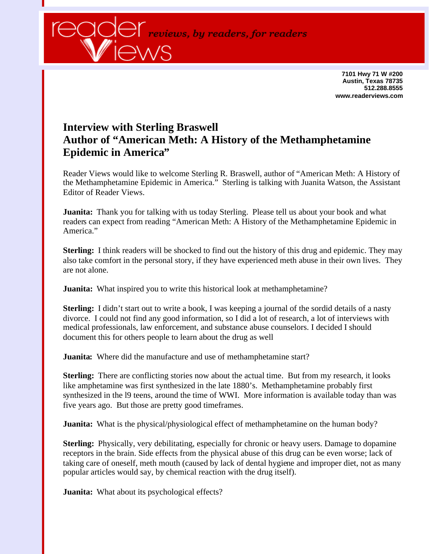

**7101 Hwy 71 W #200 Austin, Texas 78735 512.288.8555 www.readerviews.com**

## **Interview with Sterling Braswell Author of "American Meth: A History of the Methamphetamine Epidemic in America"**

Reader Views would like to welcome Sterling R. Braswell, author of "American Meth: A History of the Methamphetamine Epidemic in America." Sterling is talking with Juanita Watson, the Assistant Editor of Reader Views.

**Juanita:** Thank you for talking with us today Sterling. Please tell us about your book and what readers can expect from reading "American Meth: A History of the Methamphetamine Epidemic in America."

**Sterling:** I think readers will be shocked to find out the history of this drug and epidemic. They may also take comfort in the personal story, if they have experienced meth abuse in their own lives. They are not alone.

**Juanita:** What inspired you to write this historical look at methamphetamine?

**Sterling:** I didn't start out to write a book, I was keeping a journal of the sordid details of a nasty divorce. I could not find any good information, so I did a lot of research, a lot of interviews with medical professionals, law enforcement, and substance abuse counselors. I decided I should document this for others people to learn about the drug as well

**Juanita:** Where did the manufacture and use of methamphetamine start?

**Sterling:** There are conflicting stories now about the actual time. But from my research, it looks like amphetamine was first synthesized in the late 1880's. Methamphetamine probably first synthesized in the l9 teens, around the time of WWI. More information is available today than was five years ago. But those are pretty good timeframes.

**Juanita:** What is the physical/physiological effect of methamphetamine on the human body?

**Sterling:** Physically, very debilitating, especially for chronic or heavy users. Damage to dopamine receptors in the brain. Side effects from the physical abuse of this drug can be even worse; lack of taking care of oneself, meth mouth (caused by lack of dental hygiene and improper diet, not as many popular articles would say, by chemical reaction with the drug itself).

**Juanita:** What about its psychological effects?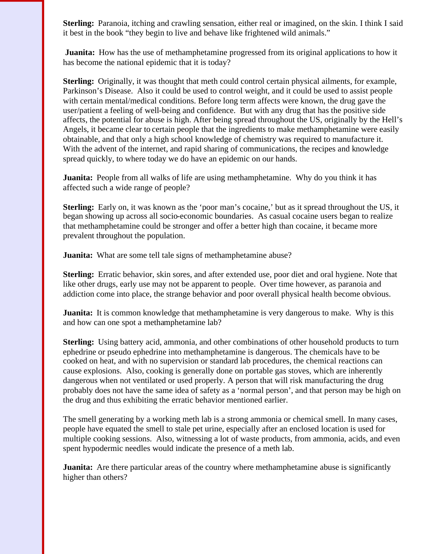**Sterling:** Paranoia, itching and crawling sensation, either real or imagined, on the skin. I think I said it best in the book "they begin to live and behave like frightened wild animals."

**Juanita:** How has the use of methamphetamine progressed from its original applications to how it has become the national epidemic that it is today?

**Sterling:** Originally, it was thought that meth could control certain physical ailments, for example, Parkinson's Disease. Also it could be used to control weight, and it could be used to assist people with certain mental/medical conditions. Before long term affects were known, the drug gave the user/patient a feeling of well-being and confidence. But with any drug that has the positive side affects, the potential for abuse is high. After being spread throughout the US, originally by the Hell's Angels, it became clear to certain people that the ingredients to make methamphetamine were easily obtainable, and that only a high school knowledge of chemistry was required to manufacture it. With the advent of the internet, and rapid sharing of communications, the recipes and knowledge spread quickly, to where today we do have an epidemic on our hands.

**Juanita:** People from all walks of life are using methamphetamine. Why do you think it has affected such a wide range of people?

**Sterling:** Early on, it was known as the 'poor man's cocaine,' but as it spread throughout the US, it began showing up across all socio-economic boundaries. As casual cocaine users began to realize that methamphetamine could be stronger and offer a better high than cocaine, it became more prevalent throughout the population.

**Juanita:** What are some tell tale signs of methamphetamine abuse?

**Sterling:** Erratic behavior, skin sores, and after extended use, poor diet and oral hygiene. Note that like other drugs, early use may not be apparent to people. Over time however, as paranoia and addiction come into place, the strange behavior and poor overall physical health become obvious.

**Juanita:** It is common knowledge that methamphetamine is very dangerous to make. Why is this and how can one spot a methamphetamine lab?

**Sterling:** Using battery acid, ammonia, and other combinations of other household products to turn ephedrine or pseudo ephedrine into methamphetamine is dangerous. The chemicals have to be cooked on heat, and with no supervision or standard lab procedures, the chemical reactions can cause explosions. Also, cooking is generally done on portable gas stoves, which are inherently dangerous when not ventilated or used properly. A person that will risk manufacturing the drug probably does not have the same idea of safety as a 'normal person', and that person may be high on the drug and thus exhibiting the erratic behavior mentioned earlier.

The smell generating by a working meth lab is a strong ammonia or chemical smell. In many cases, people have equated the smell to stale pet urine, especially after an enclosed location is used for multiple cooking sessions. Also, witnessing a lot of waste products, from ammonia, acids, and even spent hypodermic needles would indicate the presence of a meth lab.

**Juanita:** Are there particular areas of the country where methamphetamine abuse is significantly higher than others?